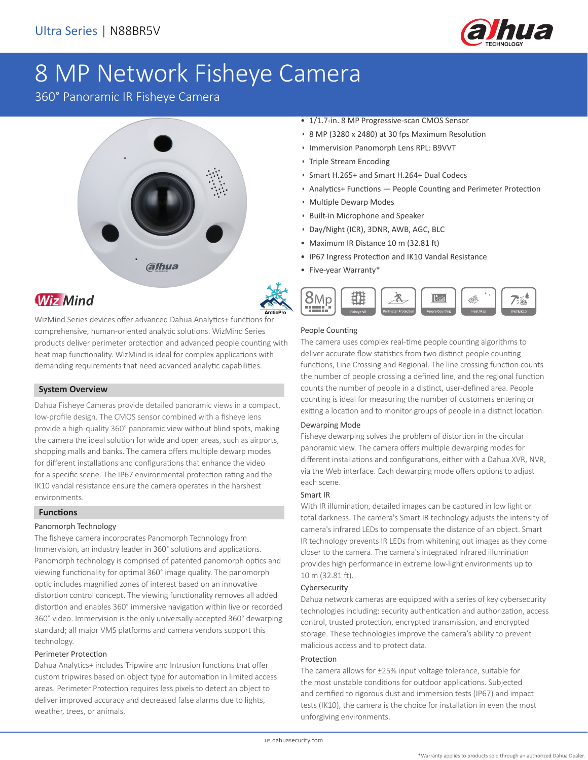

## 8 MP Network Fisheye Camera

360° Panoramic IR Fisheye Camera





## **Wiz Mind**

WizMind Series devices offer advanced Dahua Analytics+ functions for comprehensive, human-oriented analytic solutions. WizMind Series products deliver perimeter protection and advanced people counting with heat map functionality. WizMind is ideal for complex applications with demanding requirements that need advanced analytic capabilities.

### **System Overview**

Dahua Fisheye Cameras provide detailed panoramic views in a compact, low-profile design. The CMOS sensor combined with a fisheye lens provide a high-quality 360° panoramic view without blind spots, making the camera the ideal solution for wide and open areas, such as airports, shopping malls and banks. The camera offers multiple dewarp modes for different installations and configurations that enhance the video for a specific scene. The IP67 environmental protection rating and the IK10 vandal resistance ensure the camera operates in the harshest environments.

### **Functions**

### Panomorph Technology

The fisheye camera incorporates Panomorph Technology from Immervision, an industry leader in 360° solutions and applications. Panomorph technology is comprised of patented panomorph optics and viewing functionality for optimal 360° image quality. The panomorph optic includes magnified zones of interest based on an innovative distortion control concept. The viewing functionality removes all added distortion and enables 360° immersive navigation within live or recorded 360° video. Immervision is the only universally-accepted 360° dewarping standard; all major VMS platforms and camera vendors support this technology.

### Perimeter Protection

Dahua Analytics+ includes Tripwire and Intrusion functions that offer custom tripwires based on object type for automation in limited access areas. Perimeter Protection requires less pixels to detect an object to deliver improved accuracy and decreased false alarms due to lights, weather, trees, or animals.

- 1/1.7-in. 8 MP Progressive-scan CMOS Sensor
- 8 MP (3280 x 2480) at 30 fps Maximum Resolution
- Immervision Panomorph Lens RPL: B9VVT
- Triple Stream Encoding
- Smart H.265+ and Smart H.264+ Dual Codecs
- Analytics+ Functions People Counting and Perimeter Protection
- Multiple Dewarp Modes
- Built-in Microphone and Speaker
- Day/Night (ICR), 3DNR, AWB, AGC, BLC
- Maximum IR Distance 10 m (32.81 ft)
- IP67 Ingress Protection and IK10 Vandal Resistance
- Five-year Warranty\*



### People Counting

The camera uses complex real-time people counting algorithms to deliver accurate flow statistics from two distinct people counting functions, Line Crossing and Regional. The line crossing function counts the number of people crossing a defined line, and the regional function counts the number of people in a distinct, user-defined area. People counting is ideal for measuring the number of customers entering or exiting a location and to monitor groups of people in a distinct location.

### Dewarping Mode

Fisheye dewarping solves the problem of distortion in the circular panoramic view. The camera offers multiple dewarping modes for different installations and configurations, either with a Dahua XVR, NVR, via the Web interface. Each dewarping mode offers options to adjust each scene.

### Smart IR

With IR illumination, detailed images can be captured in low light or total darkness. The camera's Smart IR technology adjusts the intensity of camera's infrared LEDs to compensate the distance of an object. Smart IR technology prevents IR LEDs from whitening out images as they come closer to the camera. The camera's integrated infrared illumination provides high performance in extreme low-light environments up to 10 m (32.81 ft).

### Cybersecurity

Dahua network cameras are equipped with a series of key cybersecurity technologies including: security authentication and authorization, access control, trusted protection, encrypted transmission, and encrypted storage. These technologies improve the camera's ability to prevent malicious access and to protect data.

### Protection

The camera allows for ±25% input voltage tolerance, suitable for the most unstable conditions for outdoor applications. Subjected and certified to rigorous dust and immersion tests (IP67) and impact tests (IK10), the camera is the choice for installation in even the most unforgiving environments.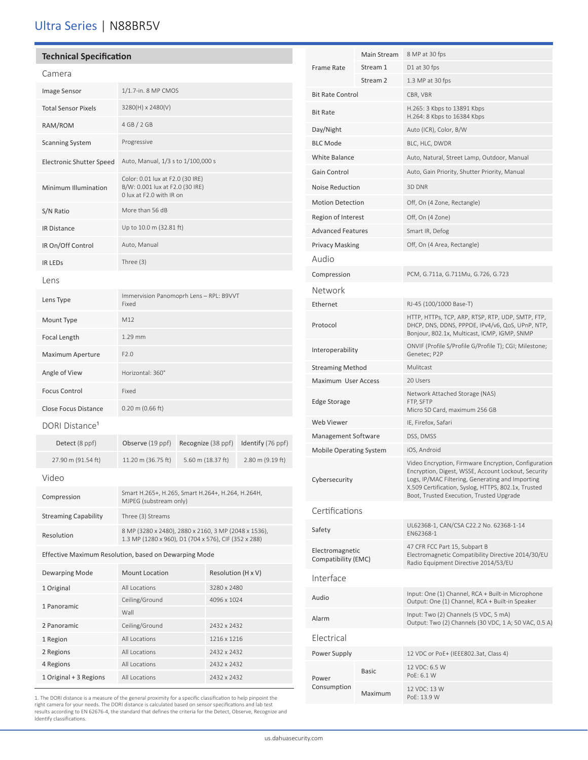### Ultra Series | N88BR5V

| <b>Technical Specification</b>                        |                                                                                                              |  |                    |                  |
|-------------------------------------------------------|--------------------------------------------------------------------------------------------------------------|--|--------------------|------------------|
| Camera                                                |                                                                                                              |  |                    |                  |
| Image Sensor                                          | 1/1.7-in. 8 MP CMOS                                                                                          |  |                    |                  |
| <b>Total Sensor Pixels</b>                            | 3280(H) x 2480(V)                                                                                            |  |                    |                  |
| RAM/ROM                                               | 4 GB / 2 GB                                                                                                  |  |                    |                  |
| <b>Scanning System</b>                                | Progressive                                                                                                  |  |                    |                  |
| <b>Electronic Shutter Speed</b>                       | Auto, Manual, 1/3 s to 1/100,000 s                                                                           |  |                    |                  |
| Minimum Illumination                                  | Color: 0.01 lux at F2.0 (30 IRE)<br>B/W: 0.001 lux at F2.0 (30 IRE)<br>0 lux at F2.0 with IR on              |  |                    |                  |
| S/N Ratio                                             | More than 56 dB                                                                                              |  |                    |                  |
| <b>IR Distance</b>                                    | Up to 10.0 m (32.81 ft)                                                                                      |  |                    |                  |
| IR On/Off Control                                     | Auto, Manual                                                                                                 |  |                    |                  |
| <b>IR LEDS</b>                                        | Three $(3)$                                                                                                  |  |                    |                  |
| Lens                                                  |                                                                                                              |  |                    |                  |
| Lens Type                                             | Immervision Panomoprh Lens - RPL: B9VVT<br>Fixed                                                             |  |                    |                  |
| Mount Type                                            | M12                                                                                                          |  |                    |                  |
| Focal Length                                          | $1.29$ mm                                                                                                    |  |                    |                  |
| Maximum Aperture                                      | F2.0                                                                                                         |  |                    |                  |
| Angle of View                                         | Horizontal: 360°                                                                                             |  |                    |                  |
| <b>Focus Control</b>                                  | Fixed                                                                                                        |  |                    |                  |
| Close Focus Distance                                  | $0.20$ m $(0.66$ ft)                                                                                         |  |                    |                  |
| DORI Distance <sup>1</sup>                            |                                                                                                              |  |                    |                  |
| Detect (8 ppf)                                        | Observe (19 ppf)<br>Recognize (38 ppf)                                                                       |  | Identify (76 ppf)  |                  |
| 27.90 m (91.54 ft)                                    | 11.20 m (36.75 ft)                                                                                           |  | 5.60 m (18.37 ft)  | 2.80 m (9.19 ft) |
| Video                                                 |                                                                                                              |  |                    |                  |
| Compression                                           | Smart H.265+, H.265, Smart H.264+, H.264, H.264H,<br>MJPEG (substream only)                                  |  |                    |                  |
| <b>Streaming Capability</b>                           | Three (3) Streams                                                                                            |  |                    |                  |
| Resolution                                            | 8 MP (3280 x 2480), 2880 x 2160, 3 MP (2048 x 1536),<br>1.3 MP (1280 x 960), D1 (704 x 576), CIF (352 x 288) |  |                    |                  |
| Effective Maximum Resolution, based on Dewarping Mode |                                                                                                              |  |                    |                  |
| Dewarping Mode                                        | <b>Mount Location</b>                                                                                        |  | Resolution (H x V) |                  |
| 1 Original                                            | All Locations                                                                                                |  | 3280 x 2480        |                  |
| 1 Panoramic                                           | Ceiling/Ground                                                                                               |  | 4096 x 1024        |                  |
| 2 Panoramic                                           | Wall<br>Ceiling/Ground                                                                                       |  | 2432 x 2432        |                  |
| 1 Region                                              | All Locations                                                                                                |  | 1216 x 1216        |                  |
| 2 Regions                                             | All Locations                                                                                                |  | 2432 x 2432        |                  |
| 4 Regions                                             | All Locations                                                                                                |  | 2432 x 2432        |                  |
| 1 Original + 3 Regions                                | All Locations                                                                                                |  | 2432 x 2432        |                  |

1. The DORI distance is a measure of the general proximity for a specific classification to help pinpoint the<br>right camera for your needs. The DORI distance is calculated based on sensor specifications and lab test<br>results

|                                        | Main Stream  | 8 MP at 30 fps                                                                                                                                                                                                                                                     |  |  |
|----------------------------------------|--------------|--------------------------------------------------------------------------------------------------------------------------------------------------------------------------------------------------------------------------------------------------------------------|--|--|
| Frame Rate                             | Stream 1     | D1 at 30 fps                                                                                                                                                                                                                                                       |  |  |
|                                        | Stream 2     | 1.3 MP at 30 fps                                                                                                                                                                                                                                                   |  |  |
| <b>Bit Rate Control</b>                |              | CBR, VBR                                                                                                                                                                                                                                                           |  |  |
| <b>Bit Rate</b>                        |              | H.265: 3 Kbps to 13891 Kbps<br>H.264: 8 Kbps to 16384 Kbps                                                                                                                                                                                                         |  |  |
| Day/Night                              |              | Auto (ICR), Color, B/W                                                                                                                                                                                                                                             |  |  |
| <b>BLC Mode</b>                        |              | BLC, HLC, DWDR                                                                                                                                                                                                                                                     |  |  |
| <b>White Balance</b>                   |              | Auto, Natural, Street Lamp, Outdoor, Manual                                                                                                                                                                                                                        |  |  |
| Gain Control                           |              | Auto, Gain Priority, Shutter Priority, Manual                                                                                                                                                                                                                      |  |  |
| Noise Reduction                        |              | 3D DNR                                                                                                                                                                                                                                                             |  |  |
| <b>Motion Detection</b>                |              | Off, On (4 Zone, Rectangle)                                                                                                                                                                                                                                        |  |  |
| Region of Interest                     |              | Off, On (4 Zone)                                                                                                                                                                                                                                                   |  |  |
| <b>Advanced Features</b>               |              | Smart IR, Defog                                                                                                                                                                                                                                                    |  |  |
| <b>Privacy Masking</b>                 |              | Off, On (4 Area, Rectangle)                                                                                                                                                                                                                                        |  |  |
| Audio                                  |              |                                                                                                                                                                                                                                                                    |  |  |
| Compression                            |              | PCM, G.711a, G.711Mu, G.726, G.723                                                                                                                                                                                                                                 |  |  |
| Network                                |              |                                                                                                                                                                                                                                                                    |  |  |
| Ethernet                               |              | RJ-45 (100/1000 Base-T)                                                                                                                                                                                                                                            |  |  |
| Protocol                               |              | HTTP, HTTPs, TCP, ARP, RTSP, RTP, UDP, SMTP, FTP,<br>DHCP, DNS, DDNS, PPPOE, IPv4/v6, QoS, UPnP, NTP,<br>Bonjour, 802.1x, Multicast, ICMP, IGMP, SNMP                                                                                                              |  |  |
| Interoperability                       |              | ONVIF (Profile S/Profile G/Profile T); CGI; Milestone;<br>Genetec; P2P                                                                                                                                                                                             |  |  |
| <b>Streaming Method</b>                |              | Mulitcast                                                                                                                                                                                                                                                          |  |  |
| Maximum User Access                    |              | 20 Users                                                                                                                                                                                                                                                           |  |  |
| Edge Storage                           |              | Network Attached Storage (NAS)<br>FTP, SFTP<br>Micro SD Card, maximum 256 GB                                                                                                                                                                                       |  |  |
| Web Viewer                             |              | IE, Firefox, Safari                                                                                                                                                                                                                                                |  |  |
| Management Software                    |              | DSS, DMSS                                                                                                                                                                                                                                                          |  |  |
| <b>Mobile Operating System</b>         |              | iOS, Android                                                                                                                                                                                                                                                       |  |  |
| Cybersecurity                          |              | Video Encryption, Firmware Encryption, Configuration<br>Encryption, Digest, WSSE, Account Lockout, Security<br>Logs, IP/MAC Filtering, Generating and Importing<br>X.509 Certification, Syslog, HTTPS, 802.1x, Trusted<br>Boot, Trusted Execution, Trusted Upgrade |  |  |
| Certifications                         |              |                                                                                                                                                                                                                                                                    |  |  |
| Safety                                 |              | UL62368-1, CAN/CSA C22.2 No. 62368-1-14<br>FN62368-1                                                                                                                                                                                                               |  |  |
| Electromagnetic<br>Compatibility (EMC) |              | 47 CFR FCC Part 15, Subpart B<br>Electromagnetic Compatibility Directive 2014/30/EU<br>Radio Equipment Directive 2014/53/EU                                                                                                                                        |  |  |
| Interface                              |              |                                                                                                                                                                                                                                                                    |  |  |
| Audio                                  |              | Input: One (1) Channel, RCA + Built-in Microphone<br>Output: One (1) Channel, RCA + Built-in Speaker                                                                                                                                                               |  |  |
| Alarm                                  |              | Input: Two (2) Channels (5 VDC, 5 mA)<br>Output: Two (2) Channels (30 VDC, 1 A; 50 VAC, 0.5 A)                                                                                                                                                                     |  |  |
| <b>Flectrical</b>                      |              |                                                                                                                                                                                                                                                                    |  |  |
| Power Supply                           |              | 12 VDC or PoE+ (IEEE802.3at, Class 4)                                                                                                                                                                                                                              |  |  |
| Power<br>Consumption                   | <b>Basic</b> | 12 VDC: 6.5 W<br>PoE: 6.1 W                                                                                                                                                                                                                                        |  |  |
|                                        | Maximum      | 12 VDC: 13 W<br>PoE: 13.9 W                                                                                                                                                                                                                                        |  |  |